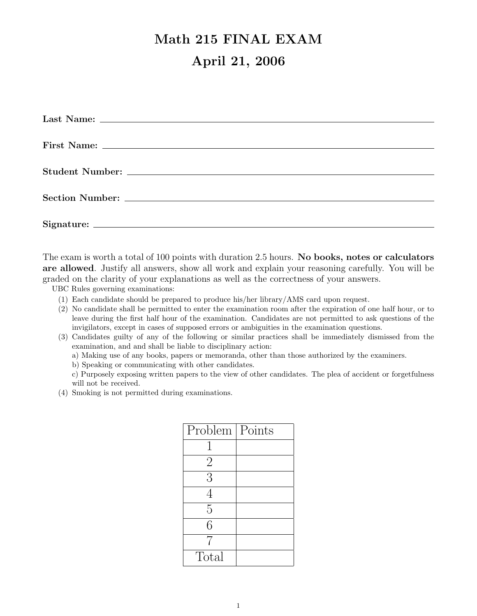## Math 215 FINAL EXAM April 21, 2006

The exam is worth a total of 100 points with duration 2.5 hours. No books, notes or calculators are allowed. Justify all answers, show all work and explain your reasoning carefully. You will be graded on the clarity of your explanations as well as the correctness of your answers.

UBC Rules governing examinations:

- (1) Each candidate should be prepared to produce his/her library/AMS card upon request.
- (2) No candidate shall be permitted to enter the examination room after the expiration of one half hour, or to leave during the first half hour of the examination. Candidates are not permitted to ask questions of the invigilators, except in cases of supposed errors or ambiguities in the examination questions.
- (3) Candidates guilty of any of the following or similar practices shall be immediately dismissed from the examination, and and shall be liable to disciplinary action:
	- a) Making use of any books, papers or memoranda, other than those authorized by the examiners.
	- b) Speaking or communicating with other candidates.
	- c) Purposely exposing written papers to the view of other candidates. The plea of accident or forgetfulness will not be received.
- (4) Smoking is not permitted during examinations.

| Problem   Points |  |
|------------------|--|
| 1                |  |
| $\overline{2}$   |  |
| 3                |  |
| 4                |  |
| 5                |  |
| 6                |  |
| 7                |  |
| Total            |  |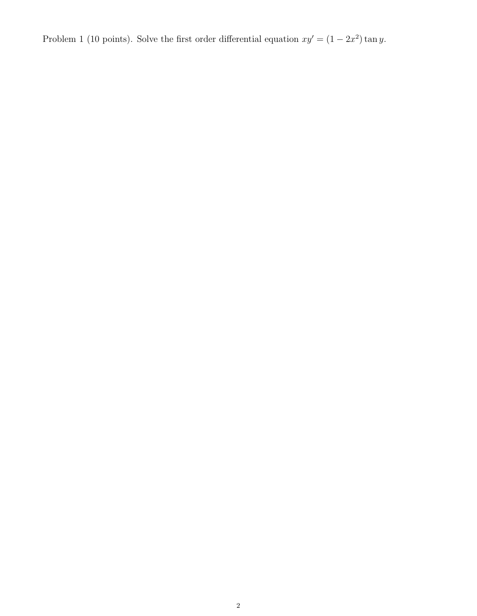Problem 1 (10 points). Solve the first order differential equation  $xy' = (1 - 2x^2) \tan y$ .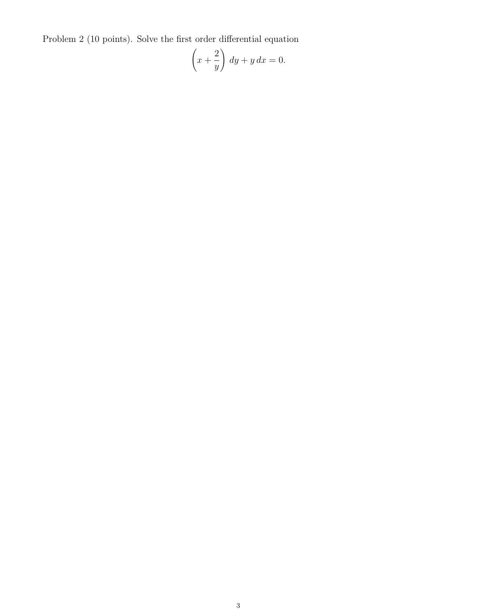Problem 2 (10 points). Solve the first order differential equation

$$
\left(x + \frac{2}{y}\right) dy + y dx = 0.
$$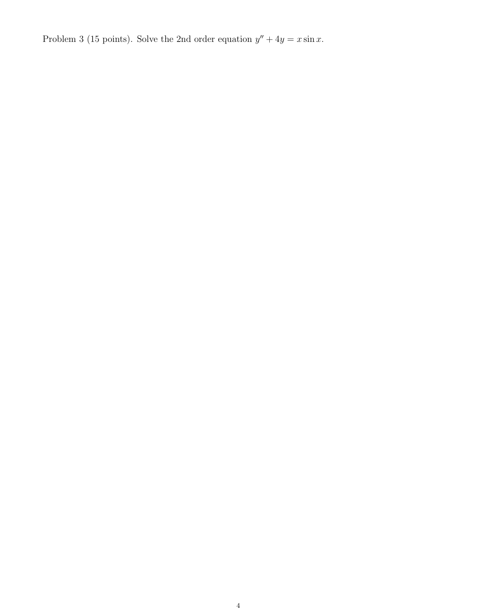Problem 3 (15 points). Solve the 2nd order equation  $y'' + 4y = x \sin x$ .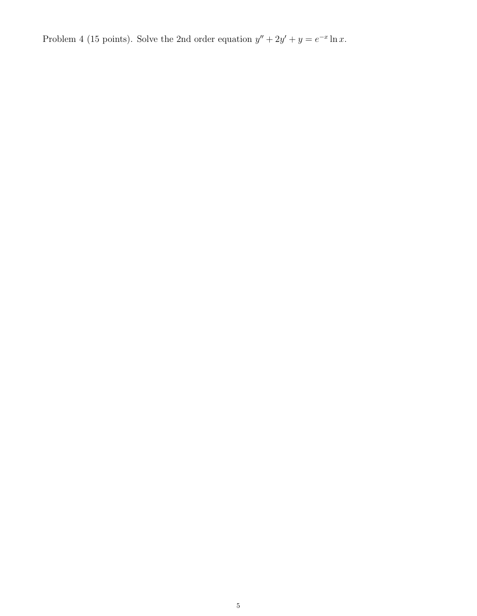Problem 4 (15 points). Solve the 2nd order equation  $y'' + 2y' + y = e^{-x} \ln x$ .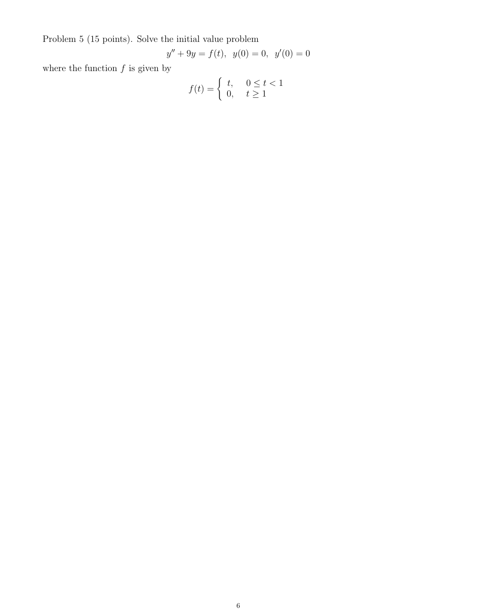Problem 5 (15 points). Solve the initial value problem

$$
y'' + 9y = f(t), \ \ y(0) = 0, \ \ y'(0) = 0
$$

where the function  $f$  is given by

$$
f(t) = \begin{cases} t, & 0 \le t < 1 \\ 0, & t \ge 1 \end{cases}
$$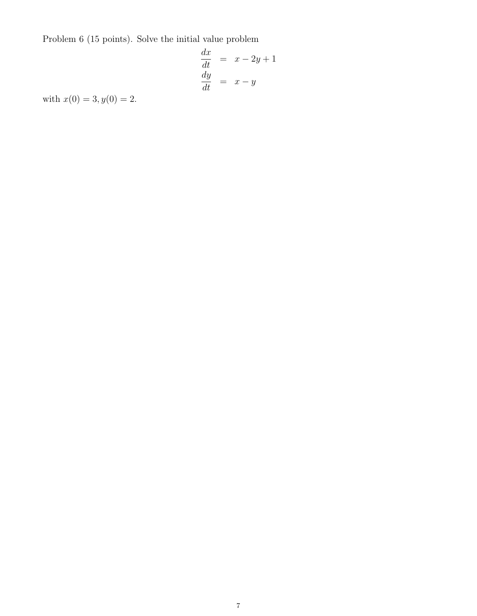Problem 6 (15 points). Solve the initial value problem

$$
\begin{array}{rcl}\n\frac{dx}{dt} & = & x - 2y + 1 \\
\frac{dy}{dt} & = & x - y\n\end{array}
$$

with  $x(0) = 3, y(0) = 2.$